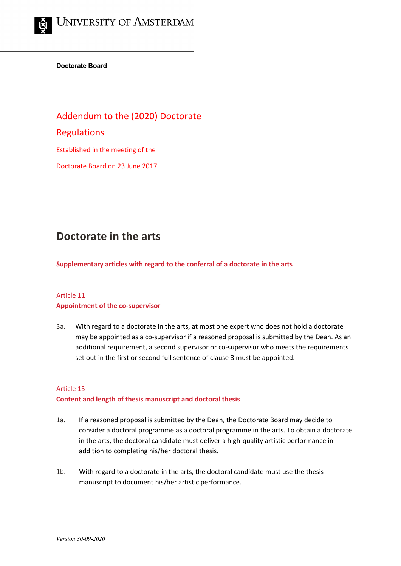**Doctorate Board**

Addendum to the (2020) Doctorate Regulations Established in the meeting of the Doctorate Board on 23 June 2017

# **Doctorate in the arts**

**Supplementary articles with regard to the conferral of a doctorate in the arts**

## Article 11 **Appointment of the co-supervisor**

3a. With regard to a doctorate in the arts, at most one expert who does not hold a doctorate may be appointed as a co-supervisor if a reasoned proposal is submitted by the Dean. As an additional requirement, a second supervisor or co-supervisor who meets the requirements set out in the first or second full sentence of clause 3 must be appointed.

### Article 15

#### **Content and length of thesis manuscript and doctoral thesis**

- 1a. If a reasoned proposal is submitted by the Dean, the Doctorate Board may decide to consider a doctoral programme as a doctoral programme in the arts. To obtain a doctorate in the arts, the doctoral candidate must deliver a high-quality artistic performance in addition to completing his/her doctoral thesis.
- 1b. With regard to a doctorate in the arts, the doctoral candidate must use the thesis manuscript to document his/her artistic performance.